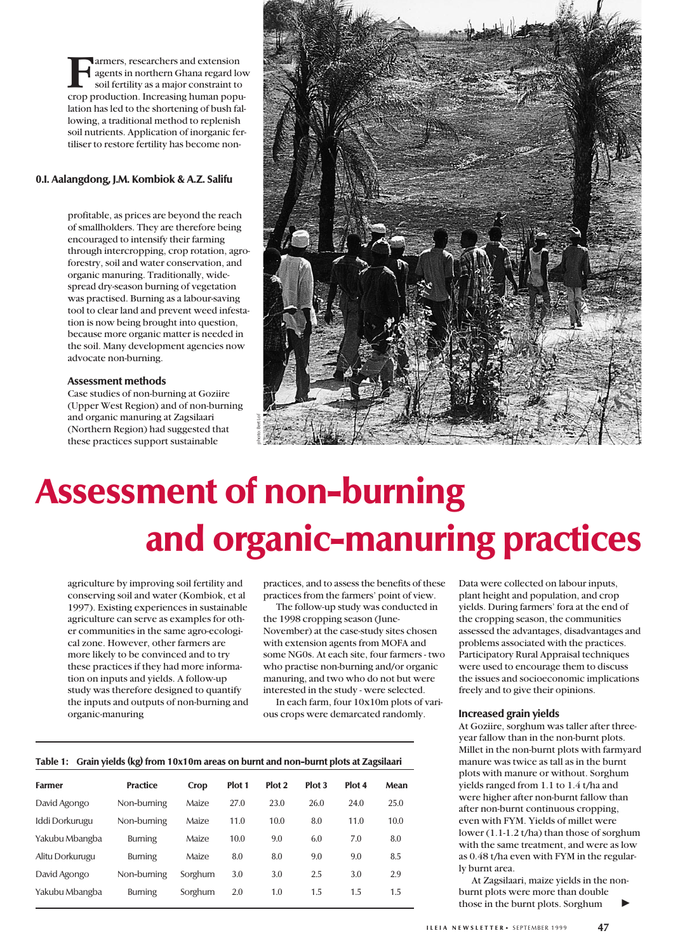**Farmers**, researchers and extension<br>agents in northern Ghana regard lov<br>soil fertility as a major constraint to<br>crop production. Increasing human popuagents in northern Ghana regard low soil fertility as a major constraint to lation has led to the shortening of bush fallowing, a traditional method to replenish soil nutrients. Application of inorganic fertiliser to restore fertility has become non-

# **0.I. Aalangdong, J.M. Kombiok & A.Z. Salifu**

profitable, as prices are beyond the reach of smallholders. They are therefore being encouraged to intensify their farming through intercropping, crop rotation, agroforestry, soil and water conservation, and organic manuring. Traditionally, widespread dry-season burning of vegetation was practised. Burning as a labour-saving tool to clear land and prevent weed infestation is now being brought into question, because more organic matter is needed in the soil. Many development agencies now advocate non-burning.

#### **Assessment methods**

Case studies of non-burning at Goziire (Upper West Region) and of non-burning and organic manuring at Zagsilaari (Northern Region) had suggested that these practices support sustainable



# **Assessment of non-burning and organic-manuring practices**

agriculture by improving soil fertility and conserving soil and water (Kombiok, et al 1997). Existing experiences in sustainable agriculture can serve as examples for other communities in the same agro-ecological zone. However, other farmers are more likely to be convinced and to try these practices if they had more information on inputs and yields. A follow-up study was therefore designed to quantify the inputs and outputs of non-burning and organic-manuring

practices, and to assess the benefits of these practices from the farmers' point of view.

The follow-up study was conducted in the 1998 cropping season (June-November) at the case-study sites chosen with extension agents from MOFA and some NG0s. At each site, four farmers - two who practise non-burning and/or organic manuring, and two who do not but were interested in the study - were selected.

In each farm, four 10x10m plots of various crops were demarcated randomly.

#### **Table 1: Grain yields (kg) from 10x10m areas on burnt and non-burnt plots at Zagsilaari**

| <b>Farmer</b>   | <b>Practice</b> | Crop    | Plot 1 | Plot <sub>2</sub> | Plot 3 | Plot 4 | Mean |
|-----------------|-----------------|---------|--------|-------------------|--------|--------|------|
| David Agongo    | Non-burning     | Maize   | 27.0   | 23.0              | 26.0   | 24.0   | 25.0 |
| Iddi Dorkurugu  | Non-burning     | Maize   | 11.0   | 10.0              | 8.0    | 11.0   | 10.0 |
| Yakubu Mbangba  | <b>Burning</b>  | Maize   | 10.0   | 9.0               | 6.0    | 7.0    | 8.0  |
| Alitu Dorkurugu | <b>Burning</b>  | Maize   | 8.0    | 8.0               | 9.0    | 9.0    | 8.5  |
| David Agongo    | Non-burning     | Sorghum | 3.0    | 3.0               | 2.5    | 3.0    | 2.9  |
| Yakubu Mbangba  | <b>Burning</b>  | Sorghum | 2.0    | 1.0               | 1.5    | 1.5    | 1.5  |

Data were collected on labour inputs, plant height and population, and crop yields. During farmers' fora at the end of the cropping season, the communities assessed the advantages, disadvantages and problems associated with the practices. Participatory Rural Appraisal techniques were used to encourage them to discuss the issues and socioeconomic implications freely and to give their opinions.

#### **Increased grain yields**

At Goziire, sorghum was taller after threeyear fallow than in the non-burnt plots. Millet in the non-burnt plots with farmyard manure was twice as tall as in the burnt plots with manure or without. Sorghum yields ranged from 1.1 to 1.4 t/ha and were higher after non-burnt fallow than after non-burnt continuous cropping, even with FYM. Yields of millet were lower (1.1-1.2 t/ha) than those of sorghum with the same treatment, and were as low as 0.48 t/ha even with FYM in the regularly burnt area.

At Zagsilaari, maize yields in the nonburnt plots were more than double those in the burnt plots. Sorghum ▼